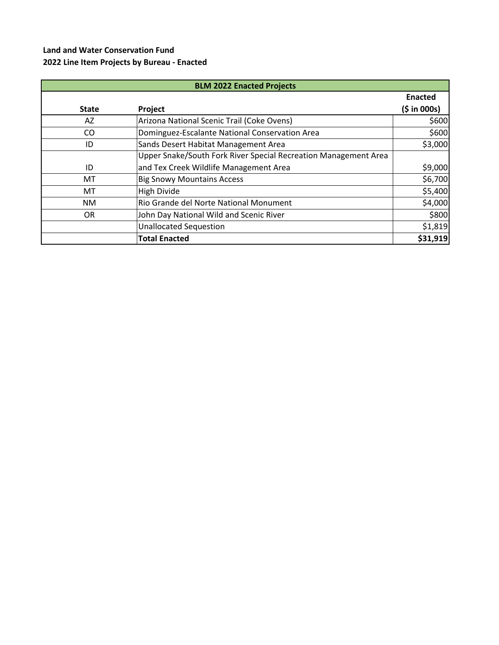## **Land and Water Conservation Fund 2022 Line Item Projects by Bureau - Enacted**

| <b>BLM 2022 Enacted Projects</b> |                                                                 |                |  |
|----------------------------------|-----------------------------------------------------------------|----------------|--|
|                                  |                                                                 | <b>Enacted</b> |  |
| <b>State</b>                     | Project                                                         | (5 in 000s)    |  |
| AZ                               | Arizona National Scenic Trail (Coke Ovens)                      | \$600          |  |
| CO                               | Dominguez-Escalante National Conservation Area                  | \$600          |  |
| ID                               | Sands Desert Habitat Management Area                            | \$3,000        |  |
|                                  | Upper Snake/South Fork River Special Recreation Management Area |                |  |
| ID                               | and Tex Creek Wildlife Management Area                          | \$9,000        |  |
| MT                               | <b>Big Snowy Mountains Access</b>                               | \$6,700        |  |
| MT                               | <b>High Divide</b>                                              | \$5,400        |  |
| <b>NM</b>                        | Rio Grande del Norte National Monument                          | \$4,000        |  |
| OR                               | John Day National Wild and Scenic River                         | \$800          |  |
|                                  | <b>Unallocated Sequestion</b>                                   | \$1,819        |  |
|                                  | <b>Total Enacted</b>                                            | \$31,919       |  |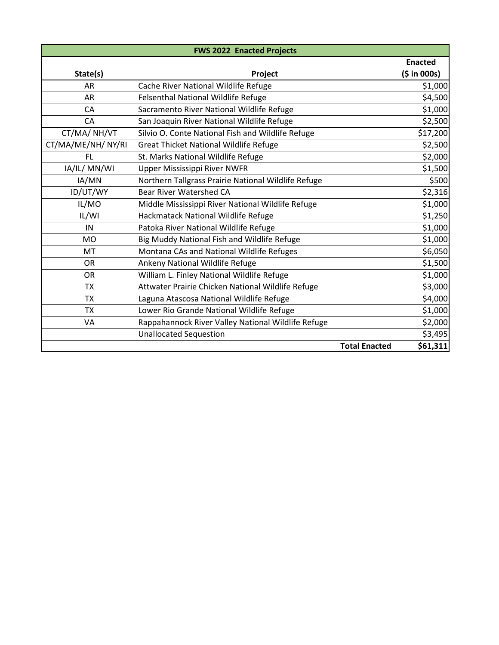| <b>FWS 2022 Enacted Projects</b> |                                                     |                |  |
|----------------------------------|-----------------------------------------------------|----------------|--|
|                                  |                                                     | <b>Enacted</b> |  |
| State(s)                         | Project                                             | (5 in 000s)    |  |
| <b>AR</b>                        | Cache River National Wildlife Refuge                | \$1,000        |  |
| <b>AR</b>                        | Felsenthal National Wildlife Refuge                 | \$4,500        |  |
| CA                               | Sacramento River National Wildlife Refuge           | \$1,000        |  |
| CA                               | San Joaquin River National Wildlife Refuge          | \$2,500        |  |
| CT/MA/NH/VT                      | Silvio O. Conte National Fish and Wildlife Refuge   | \$17,200       |  |
| CT/MA/ME/NH/NY/RI                | Great Thicket National Wildlife Refuge              | \$2,500        |  |
| FL                               | St. Marks National Wildlife Refuge                  | \$2,000        |  |
| IA/IL/ MN/WI                     | <b>Upper Mississippi River NWFR</b>                 | \$1,500        |  |
| IA/MN                            | Northern Tallgrass Prairie National Wildlife Refuge | \$500          |  |
| ID/UT/WY                         | <b>Bear River Watershed CA</b>                      | \$2,316        |  |
| IL/MO                            | Middle Mississippi River National Wildlife Refuge   | \$1,000        |  |
| IL/WI                            | Hackmatack National Wildlife Refuge                 | \$1,250        |  |
| IN                               | Patoka River National Wildlife Refuge               | \$1,000        |  |
| <b>MO</b>                        | Big Muddy National Fish and Wildlife Refuge         | \$1,000        |  |
| MT                               | Montana CAs and National Wildlife Refuges           | \$6,050        |  |
| <b>OR</b>                        | Ankeny National Wildlife Refuge                     | \$1,500        |  |
| <b>OR</b>                        | William L. Finley National Wildlife Refuge          | \$1,000        |  |
| <b>TX</b>                        | Attwater Prairie Chicken National Wildlife Refuge   | \$3,000        |  |
| <b>TX</b>                        | Laguna Atascosa National Wildlife Refuge            | \$4,000        |  |
| <b>TX</b>                        | Lower Rio Grande National Wildlife Refuge           | \$1,000        |  |
| VA                               | Rappahannock River Valley National Wildlife Refuge  | \$2,000        |  |
|                                  | <b>Unallocated Sequestion</b>                       | \$3,495        |  |
|                                  | <b>Total Enacted</b>                                | \$61,311       |  |